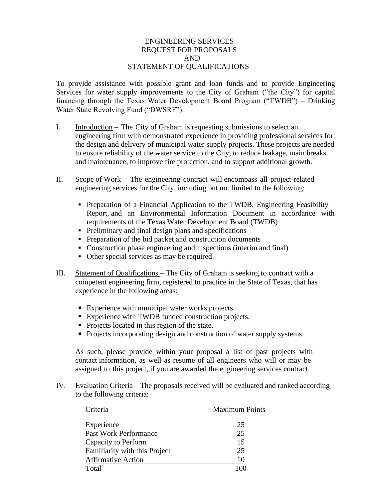## ENGINEERING SERVICES REQUEST FOR PROPOSALS AND STATEMENT OF QUALIFICATIONS

To provide assistance with possible grant and loan funds and to provide Engineering Services for water supply improvements to the City of Graham ("the City") for capital financing through the Texas Water Development Board Program ("TWDB") – Drinking Water State Revolving Fund ("DWSRF").

- I. Introduction The City of Graham is requesting submissions to select an engineering firm with demonstrated experience in providing professional services for the design and delivery of municipal water supply projects. These projects are needed to ensure reliability of the water service to the City, to reduce leakage, main breaks and maintenance, to improve fire protection, and to support additional growth.
- II. Scope of Work The engineering contract will encompass all project-related engineering services for the City, including but not limited to the following:
	- **•** Preparation of a Financial Application to the TWDB, Engineering Feasibility Report, and an Environmental Information Document in accordance with requirements of the Texas Water Development Board (TWDB)
	- Preliminary and final design plans and specifications
	- Preparation of the bid packet and construction documents
	- Construction phase engineering and inspections (interim and final)
	- Other special services as may be required.
- III. Statement of Qualifications The City of Graham is seeking to contract with a competent engineering firm, registered to practice in the State of Texas, that has experience in the following areas:
	- Experience with municipal water works projects.
	- Experience with TWDB funded construction projects.
	- Projects located in this region of the state.
	- Projects incorporating design and construction of water supply systems.

As such, please provide within your proposal a list of past projects with contact information, as well as resume of all engineers who will or may be assigned to this project, if you are awarded the engineering services contract.

IV. Evaluation Criteria – The proposals received will be evaluated and ranked according to the following criteria:

| Criteria                      | <b>Maximum Points</b> |
|-------------------------------|-----------------------|
|                               |                       |
| Experience                    | 25                    |
| <b>Past Work Performance</b>  | 25                    |
| Capacity to Perform           | 15                    |
| Familiarity with this Project | 25                    |
| <b>Affirmative Action</b>     | 10                    |
| Total                         | 100                   |